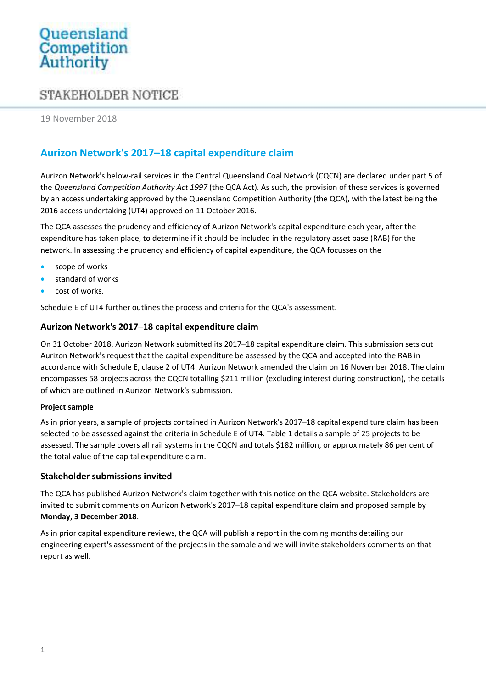# Queensland<br>Competition<br>Authority

# STAKEHOLDER NOTICE

19 November 2018

# Aurizon Network's 2017–18 capital expenditure claim

Aurizon Network's below-rail services in the Central Queensland Coal Network (CQCN) are declared under part 5 of the Queensland Competition Authority Act 1997 (the QCA Act). As such, the provision of these services is governed by an access undertaking approved by the Queensland Competition Authority (the QCA), with the latest being the 2016 access undertaking (UT4) approved on 11 October 2016.

The QCA assesses the prudency and efficiency of Aurizon Network's capital expenditure each year, after the expenditure has taken place, to determine if it should be included in the regulatory asset base (RAB) for the network. In assessing the prudency and efficiency of capital expenditure, the QCA focusses on the

- scope of works
- standard of works
- cost of works.

Schedule E of UT4 further outlines the process and criteria for the QCA's assessment.

### Aurizon Network's 2017–18 capital expenditure claim

On 31 October 2018, Aurizon Network submitted its 2017–18 capital expenditure claim. This submission sets out Aurizon Network's request that the capital expenditure be assessed by the QCA and accepted into the RAB in accordance with Schedule E, clause 2 of UT4. Aurizon Network amended the claim on 16 November 2018. The claim encompasses 58 projects across the CQCN totalling \$211 million (excluding interest during construction), the details of which are outlined in Aurizon Network's submission.

#### Project sample

As in prior years, a sample of projects contained in Aurizon Network's 2017–18 capital expenditure claim has been selected to be assessed against the criteria in Schedule E of UT4. Table 1 details a sample of 25 projects to be assessed. The sample covers all rail systems in the CQCN and totals \$182 million, or approximately 86 per cent of the total value of the capital expenditure claim.

### Stakeholder submissions invited

The QCA has published Aurizon Network's claim together with this notice on the QCA website. Stakeholders are invited to submit comments on Aurizon Network's 2017–18 capital expenditure claim and proposed sample by Monday, 3 December 2018.

As in prior capital expenditure reviews, the QCA will publish a report in the coming months detailing our engineering expert's assessment of the projects in the sample and we will invite stakeholders comments on that report as well.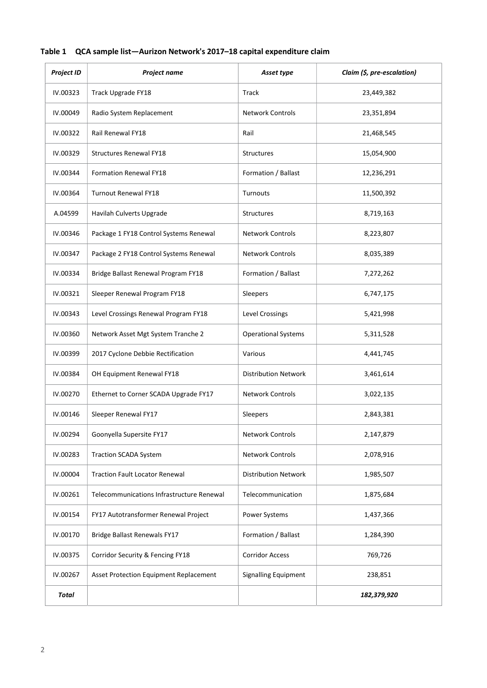# Table 1 QCA sample list—Aurizon Network's 2017–18 capital expenditure claim

| <b>Project ID</b> | <b>Project name</b>                       | Asset type                  | Claim (\$, pre-escalation) |
|-------------------|-------------------------------------------|-----------------------------|----------------------------|
| IV.00323          | Track Upgrade FY18                        | Track                       | 23,449,382                 |
| IV.00049          | Radio System Replacement                  | <b>Network Controls</b>     | 23,351,894                 |
| IV.00322          | Rail Renewal FY18                         | Rail                        | 21,468,545                 |
| IV.00329          | <b>Structures Renewal FY18</b>            | Structures                  | 15,054,900                 |
| IV.00344          | <b>Formation Renewal FY18</b>             | Formation / Ballast         | 12,236,291                 |
| IV.00364          | <b>Turnout Renewal FY18</b>               | Turnouts                    | 11,500,392                 |
| A.04599           | Havilah Culverts Upgrade                  | <b>Structures</b>           | 8,719,163                  |
| IV.00346          | Package 1 FY18 Control Systems Renewal    | <b>Network Controls</b>     | 8,223,807                  |
| IV.00347          | Package 2 FY18 Control Systems Renewal    | <b>Network Controls</b>     | 8,035,389                  |
| IV.00334          | Bridge Ballast Renewal Program FY18       | Formation / Ballast         | 7,272,262                  |
| IV.00321          | Sleeper Renewal Program FY18              | Sleepers                    | 6,747,175                  |
| IV.00343          | Level Crossings Renewal Program FY18      | Level Crossings             | 5,421,998                  |
| IV.00360          | Network Asset Mgt System Tranche 2        | <b>Operational Systems</b>  | 5,311,528                  |
| IV.00399          | 2017 Cyclone Debbie Rectification         | Various                     | 4,441,745                  |
| IV.00384          | OH Equipment Renewal FY18                 | <b>Distribution Network</b> | 3,461,614                  |
| IV.00270          | Ethernet to Corner SCADA Upgrade FY17     | <b>Network Controls</b>     | 3,022,135                  |
| IV.00146          | Sleeper Renewal FY17                      | Sleepers                    | 2,843,381                  |
| IV.00294          | Goonyella Supersite FY17                  | <b>Network Controls</b>     | 2,147,879                  |
| IV.00283          | <b>Traction SCADA System</b>              | Network Controls            | 2,078,916                  |
| IV.00004          | <b>Traction Fault Locator Renewal</b>     | <b>Distribution Network</b> | 1,985,507                  |
| IV.00261          | Telecommunications Infrastructure Renewal | Telecommunication           | 1,875,684                  |
| IV.00154          | FY17 Autotransformer Renewal Project      | Power Systems               | 1,437,366                  |
| IV.00170          | Bridge Ballast Renewals FY17              | Formation / Ballast         | 1,284,390                  |
| IV.00375          | Corridor Security & Fencing FY18          | <b>Corridor Access</b>      | 769,726                    |
| IV.00267          | Asset Protection Equipment Replacement    | <b>Signalling Equipment</b> | 238,851                    |
| Total             |                                           |                             | 182,379,920                |